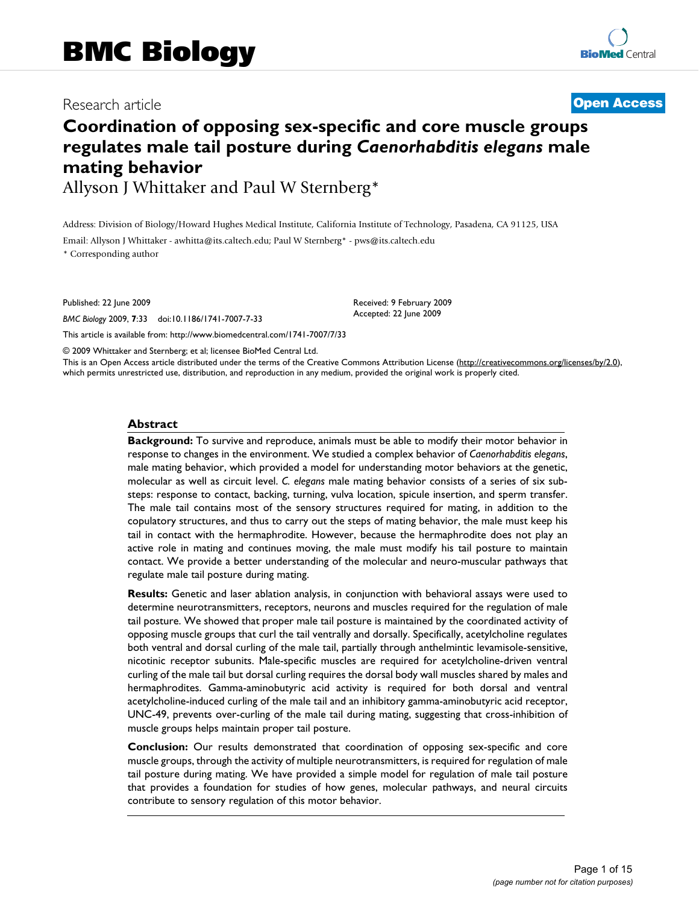Research article **[Open Access](http://www.biomedcentral.com/info/about/charter/)**

# **Coordination of opposing sex-specific and core muscle groups regulates male tail posture during** *Caenorhabditis elegans* **male mating behavior**

Allyson J Whittaker and Paul W Sternberg\*

Address: Division of Biology/Howard Hughes Medical Institute, California Institute of Technology, Pasadena, CA 91125, USA

Email: Allyson J Whittaker - awhitta@its.caltech.edu; Paul W Sternberg\* - pws@its.caltech.edu \* Corresponding author

Published: 22 June 2009

*BMC Biology* 2009, **7**:33 doi:10.1186/1741-7007-7-33

[This article is available from: http://www.biomedcentral.com/1741-7007/7/33](http://www.biomedcentral.com/1741-7007/7/33)

© 2009 Whittaker and Sternberg; et al; licensee BioMed Central Ltd.

This is an Open Access article distributed under the terms of the Creative Commons Attribution License [\(http://creativecommons.org/licenses/by/2.0\)](http://creativecommons.org/licenses/by/2.0), which permits unrestricted use, distribution, and reproduction in any medium, provided the original work is properly cited.

Received: 9 February 2009 Accepted: 22 June 2009

#### **Abstract**

**Background:** To survive and reproduce, animals must be able to modify their motor behavior in response to changes in the environment. We studied a complex behavior of *Caenorhabditis elegans*, male mating behavior, which provided a model for understanding motor behaviors at the genetic, molecular as well as circuit level. *C. elegans* male mating behavior consists of a series of six substeps: response to contact, backing, turning, vulva location, spicule insertion, and sperm transfer. The male tail contains most of the sensory structures required for mating, in addition to the copulatory structures, and thus to carry out the steps of mating behavior, the male must keep his tail in contact with the hermaphrodite. However, because the hermaphrodite does not play an active role in mating and continues moving, the male must modify his tail posture to maintain contact. We provide a better understanding of the molecular and neuro-muscular pathways that regulate male tail posture during mating.

**Results:** Genetic and laser ablation analysis, in conjunction with behavioral assays were used to determine neurotransmitters, receptors, neurons and muscles required for the regulation of male tail posture. We showed that proper male tail posture is maintained by the coordinated activity of opposing muscle groups that curl the tail ventrally and dorsally. Specifically, acetylcholine regulates both ventral and dorsal curling of the male tail, partially through anthelmintic levamisole-sensitive, nicotinic receptor subunits. Male-specific muscles are required for acetylcholine-driven ventral curling of the male tail but dorsal curling requires the dorsal body wall muscles shared by males and hermaphrodites. Gamma-aminobutyric acid activity is required for both dorsal and ventral acetylcholine-induced curling of the male tail and an inhibitory gamma-aminobutyric acid receptor, UNC-49, prevents over-curling of the male tail during mating, suggesting that cross-inhibition of muscle groups helps maintain proper tail posture.

**Conclusion:** Our results demonstrated that coordination of opposing sex-specific and core muscle groups, through the activity of multiple neurotransmitters, is required for regulation of male tail posture during mating. We have provided a simple model for regulation of male tail posture that provides a foundation for studies of how genes, molecular pathways, and neural circuits contribute to sensory regulation of this motor behavior.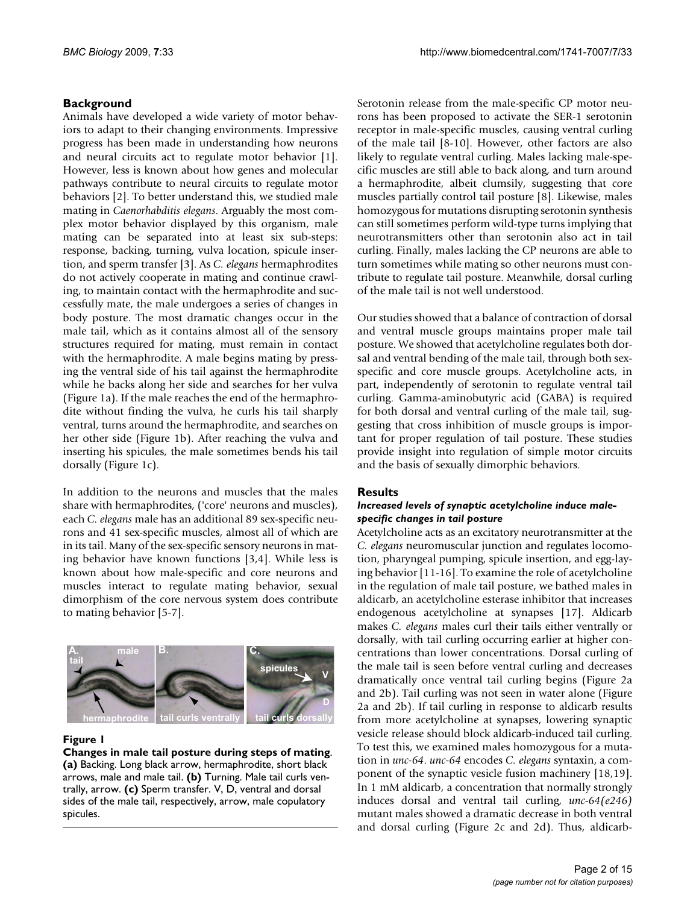# **Background**

Animals have developed a wide variety of motor behaviors to adapt to their changing environments. Impressive progress has been made in understanding how neurons and neural circuits act to regulate motor behavior [1]. However, less is known about how genes and molecular pathways contribute to neural circuits to regulate motor behaviors [2]. To better understand this, we studied male mating in *Caenorhabditis elegans*. Arguably the most complex motor behavior displayed by this organism, male mating can be separated into at least six sub-steps: response, backing, turning, vulva location, spicule insertion, and sperm transfer [3]. As *C. elegans* hermaphrodites do not actively cooperate in mating and continue crawling, to maintain contact with the hermaphrodite and successfully mate, the male undergoes a series of changes in body posture. The most dramatic changes occur in the male tail, which as it contains almost all of the sensory structures required for mating, must remain in contact with the hermaphrodite. A male begins mating by pressing the ventral side of his tail against the hermaphrodite while he backs along her side and searches for her vulva (Figure 1a). If the male reaches the end of the hermaphrodite without finding the vulva, he curls his tail sharply ventral, turns around the hermaphrodite, and searches on her other side (Figure 1b). After reaching the vulva and inserting his spicules, the male sometimes bends his tail dorsally (Figure 1c).

In addition to the neurons and muscles that the males share with hermaphrodites, ('core' neurons and muscles), each *C. elegans* male has an additional 89 sex-specific neurons and 41 sex-specific muscles, almost all of which are in its tail. Many of the sex-specific sensory neurons in mating behavior have known functions [3,4]. While less is known about how male-specific and core neurons and muscles interact to regulate mating behavior, sexual dimorphism of the core nervous system does contribute to mating behavior [5-7].



### **Figure 1**

**Changes in male tail posture during steps of mating**. **(a)** Backing. Long black arrow, hermaphrodite, short black arrows, male and male tail. **(b)** Turning. Male tail curls ventrally, arrow. **(c)** Sperm transfer. V, D, ventral and dorsal sides of the male tail, respectively, arrow, male copulatory spicules.

Serotonin release from the male-specific CP motor neurons has been proposed to activate the SER-1 serotonin receptor in male-specific muscles, causing ventral curling of the male tail [8-10]. However, other factors are also likely to regulate ventral curling. Males lacking male-specific muscles are still able to back along, and turn around a hermaphrodite, albeit clumsily, suggesting that core muscles partially control tail posture [8]. Likewise, males homozygous for mutations disrupting serotonin synthesis can still sometimes perform wild-type turns implying that neurotransmitters other than serotonin also act in tail curling. Finally, males lacking the CP neurons are able to turn sometimes while mating so other neurons must contribute to regulate tail posture. Meanwhile, dorsal curling of the male tail is not well understood.

Our studies showed that a balance of contraction of dorsal and ventral muscle groups maintains proper male tail posture. We showed that acetylcholine regulates both dorsal and ventral bending of the male tail, through both sexspecific and core muscle groups. Acetylcholine acts, in part, independently of serotonin to regulate ventral tail curling. Gamma-aminobutyric acid (GABA) is required for both dorsal and ventral curling of the male tail, suggesting that cross inhibition of muscle groups is important for proper regulation of tail posture. These studies provide insight into regulation of simple motor circuits and the basis of sexually dimorphic behaviors.

### **Results**

#### *Increased levels of synaptic acetylcholine induce malespecific changes in tail posture*

Acetylcholine acts as an excitatory neurotransmitter at the *C. elegans* neuromuscular junction and regulates locomotion, pharyngeal pumping, spicule insertion, and egg-laying behavior [11-[16\]](#page-13-0). To examine the role of acetylcholine in the regulation of male tail posture, we bathed males in aldicarb, an acetylcholine esterase inhibitor that increases endogenous acetylcholine at synapses [17]. Aldicarb makes *C. elegans* males curl their tails either ventrally or dorsally, with tail curling occurring earlier at higher concentrations than lower concentrations. Dorsal curling of the male tail is seen before ventral curling and decreases dramatically once ventral tail curling begins (Figure 2a and 2b). Tail curling was not seen in water alone (Figure 2a and 2b). If tail curling in response to aldicarb results from more acetylcholine at synapses, lowering synaptic vesicle release should block aldicarb-induced tail curling. To test this, we examined males homozygous for a mutation in *unc-64*. *unc-64* encodes *C. elegans* syntaxin, a component of the synaptic vesicle fusion machinery [18,19]. In 1 mM aldicarb, a concentration that normally strongly induces dorsal and ventral tail curling, *unc-64(e246)* mutant males showed a dramatic decrease in both ventral and dorsal curling (Figure 2c and 2d). Thus, aldicarb-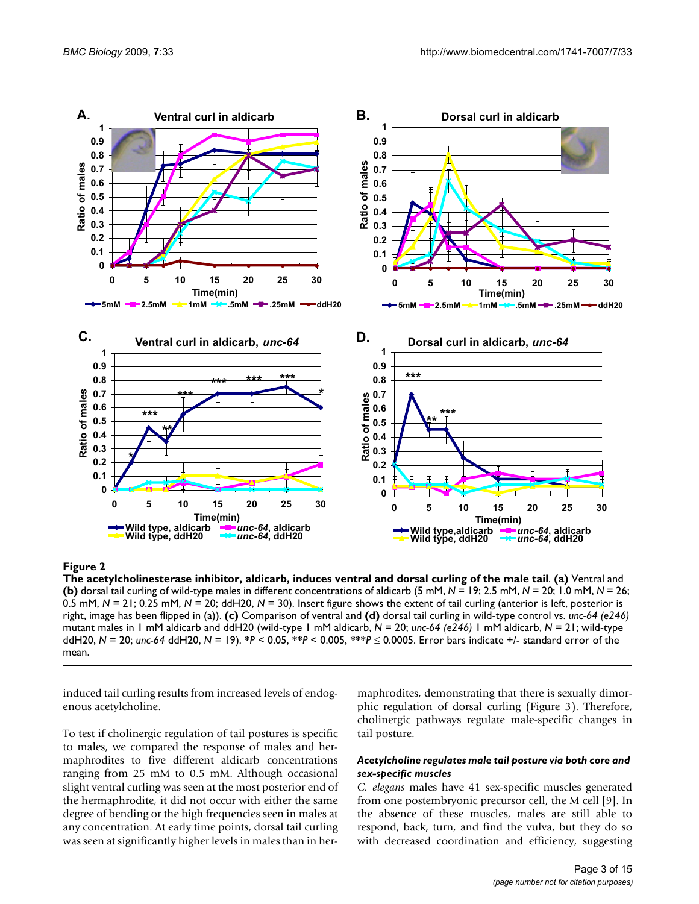

#### The acetylcholinesterase inhibito **Figure 2** r, aldicarb, induces ventral and dorsal curling of the male tail

**The acetylcholinesterase inhibitor, aldicarb, induces ventral and dorsal curling of the male tail**. **(a)** Ventral and **(b)** dorsal tail curling of wild-type males in different concentrations of aldicarb (5 mM, *N* = 19; 2.5 mM, *N* = 20; 1.0 mM, *N* = 26; 0.5 mM, *N* = 21; 0.25 mM, *N* = 20; ddH20, *N* = 30). Insert figure shows the extent of tail curling (anterior is left, posterior is right, image has been flipped in (a)). **(c)** Comparison of ventral and **(d)** dorsal tail curling in wild-type control vs. *unc-64 (e246)*  mutant males in 1 mM aldicarb and ddH20 (wild-type 1 mM aldicarb, *N* = 20; *unc-64 (e246)* 1 mM aldicarb, *N* = 21; wild-type ddH20, *N* = 20; *unc-64* ddH20, *N* = 19). **\****P* < 0.05, **\*\****P* < 0.005, **\*\*\****P* ≤ 0.0005. Error bars indicate +/- standard error of the mean.

induced tail curling results from increased levels of endogenous acetylcholine.

To test if cholinergic regulation of tail postures is specific to males, we compared the response of males and hermaphrodites to five different aldicarb concentrations ranging from 25 mM to 0.5 mM. Although occasional slight ventral curling was seen at the most posterior end of the hermaphrodite, it did not occur with either the same degree of bending or the high frequencies seen in males at any concentration. At early time points, dorsal tail curling was seen at significantly higher levels in males than in hermaphrodites, demonstrating that there is sexually dimorphic regulation of dorsal curling (Figure 3). Therefore, cholinergic pathways regulate male-specific changes in tail posture.

#### *Acetylcholine regulates male tail posture via both core and sex-specific muscles*

*C. elegans* males have 41 sex-specific muscles generated from one postembryonic precursor cell, the M cell [9]. In the absence of these muscles, males are still able to respond, back, turn, and find the vulva, but they do so with decreased coordination and efficiency, suggesting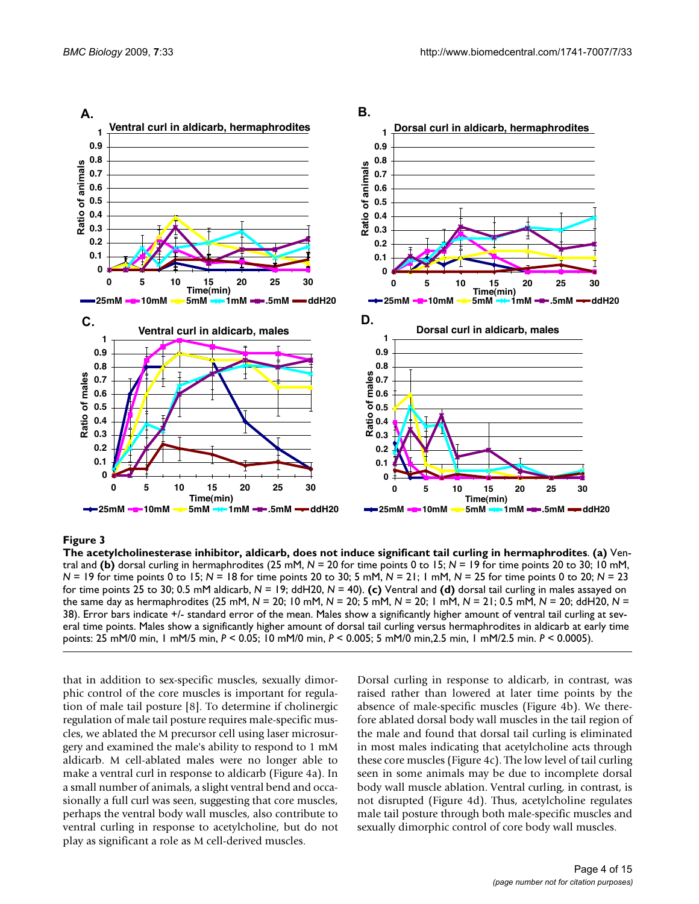

#### **Figure 3** The acetylcholinesterase induce significant tail curling induce significant tail curling in hermaphrodites in hermaphrodites in hermaphrodites in hermaphrodites in hermaphrodites in hermaphrodites in hermaphrodi

**The acetylcholinesterase inhibitor, aldicarb, does not induce significant tail curling in hermaphrodites**. **(a)** Ventral and **(b)** dorsal curling in hermaphrodites (25 mM, *N* = 20 for time points 0 to 15; *N* = 19 for time points 20 to 30; 10 mM, *N* = 19 for time points 0 to 15; *N* = 18 for time points 20 to 30; 5 mM, *N* = 21; 1 mM, *N* = 25 for time points 0 to 20; *N* = 23 for time points 25 to 30; 0.5 mM aldicarb, *N* = 19; ddH20, *N* = 40). **(c)** Ventral and **(d)** dorsal tail curling in males assayed on the same day as hermaphrodites (25 mM, *N* = 20; 10 mM, *N* = 20; 5 mM, *N* = 20; 1 mM, *N* = 21; 0.5 mM, *N* = 20; ddH20, *N* = 38). Error bars indicate +/- standard error of the mean. Males show a significantly higher amount of ventral tail curling at several time points. Males show a significantly higher amount of dorsal tail curling versus hermaphrodites in aldicarb at early time points: 25 mM/0 min, 1 mM/5 min, *P* < 0.05; 10 mM/0 min, *P* < 0.005; 5 mM/0 min,2.5 min, 1 mM/2.5 min. *P* < 0.0005).

that in addition to sex-specific muscles, sexually dimorphic control of the core muscles is important for regulation of male tail posture [8]. To determine if cholinergic regulation of male tail posture requires male-specific muscles, we ablated the M precursor cell using laser microsurgery and examined the male's ability to respond to 1 mM aldicarb. M cell-ablated males were no longer able to make a ventral curl in response to aldicarb (Figure 4a). In a small number of animals, a slight ventral bend and occasionally a full curl was seen, suggesting that core muscles, perhaps the ventral body wall muscles, also contribute to ventral curling in response to acetylcholine, but do not play as significant a role as M cell-derived muscles.

Dorsal curling in response to aldicarb, in contrast, was raised rather than lowered at later time points by the absence of male-specific muscles (Figure 4b). We therefore ablated dorsal body wall muscles in the tail region of the male and found that dorsal tail curling is eliminated in most males indicating that acetylcholine acts through these core muscles (Figure 4c). The low level of tail curling seen in some animals may be due to incomplete dorsal body wall muscle ablation. Ventral curling, in contrast, is not disrupted (Figure 4d). Thus, acetylcholine regulates male tail posture through both male-specific muscles and sexually dimorphic control of core body wall muscles.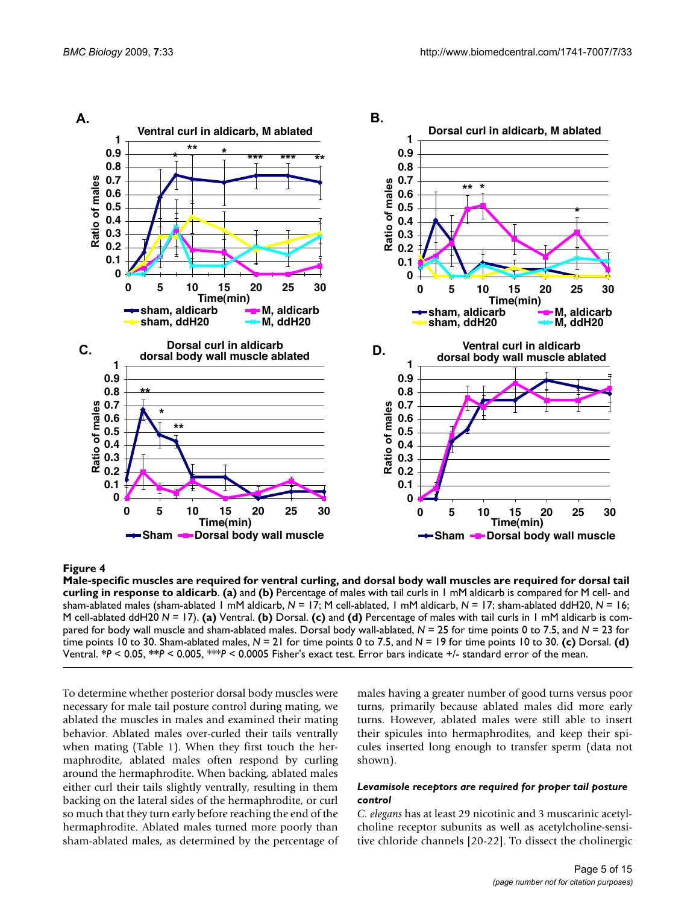

#### **Figure 4** Male-specific muscles are required for ventral curling, and dorsal body wall muscles are required for do

**Male-specific muscles are required for ventral curling, and dorsal body wall muscles are required for dorsal tail curling in response to aldicarb**. **(a)** and **(b)** Percentage of males with tail curls in 1 mM aldicarb is compared for M cell- and sham-ablated males (sham-ablated 1 mM aldicarb, *N* = 17; M cell-ablated, 1 mM aldicarb, *N* = 17; sham-ablated ddH20, *N* = 16; M cell-ablated ddH20 *N* = 17). **(a)** Ventral. **(b)** Dorsal. **(c)** and **(d)** Percentage of males with tail curls in 1 mM aldicarb is compared for body wall muscle and sham-ablated males. Dorsal body wall-ablated, *N* = 25 for time points 0 to 7.5, and *N* = 23 for time points 10 to 30. Sham-ablated males,  $N = 21$  for time points 0 to 7.5, and  $N = 19$  for time points 10 to 30. (c) Dorsal. (d) Ventral. **\****P* < 0.05, **\*\****P* < 0.005, \*\*\**P* < 0.0005 Fisher's exact test. Error bars indicate +/- standard error of the mean.

To determine whether posterior dorsal body muscles were necessary for male tail posture control during mating, we ablated the muscles in males and examined their mating behavior. Ablated males over-curled their tails ventrally when mating (Table 1). When they first touch the hermaphrodite, ablated males often respond by curling around the hermaphrodite. When backing, ablated males either curl their tails slightly ventrally, resulting in them backing on the lateral sides of the hermaphrodite, or curl so much that they turn early before reaching the end of the hermaphrodite. Ablated males turned more poorly than sham-ablated males, as determined by the percentage of males having a greater number of good turns versus poor turns, primarily because ablated males did more early turns. However, ablated males were still able to insert their spicules into hermaphrodites, and keep their spicules inserted long enough to transfer sperm (data not shown).

#### *Levamisole receptors are required for proper tail posture control*

*C. elegans* has at least 29 nicotinic and 3 muscarinic acetylcholine receptor subunits as well as acetylcholine-sensitive chloride channels [20-22]. To dissect the cholinergic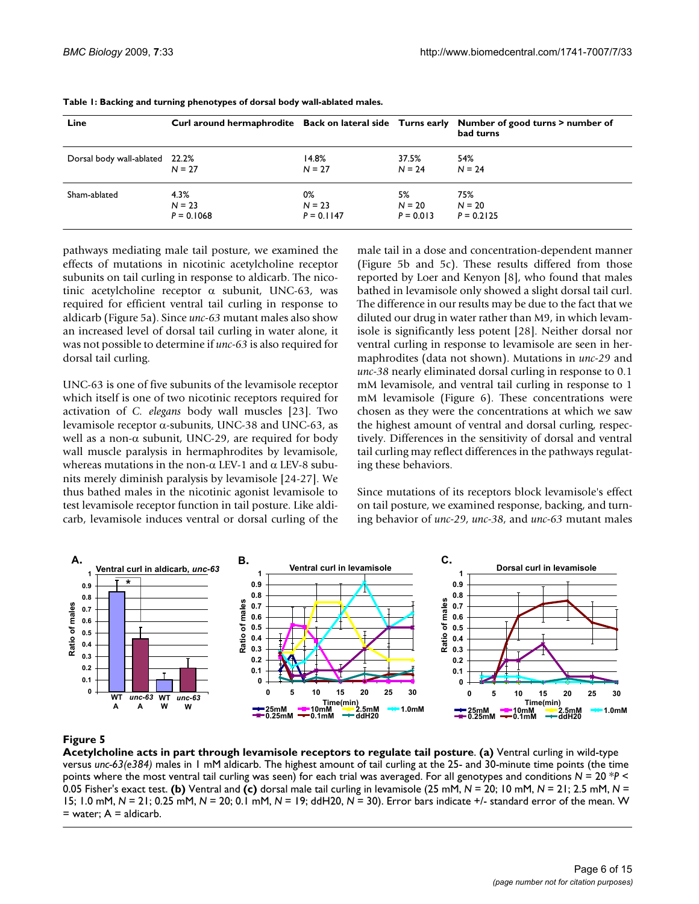| Line                           |                                  |                                |                               | Curl around hermaphrodite Back on lateral side Turns early Number of good turns > number of<br>bad turns |
|--------------------------------|----------------------------------|--------------------------------|-------------------------------|----------------------------------------------------------------------------------------------------------|
| Dorsal body wall-ablated 22.2% | $N = 27$                         | 14.8%<br>$N = 27$              | 37.5%<br>$N = 24$             | 54%<br>$N = 24$                                                                                          |
| Sham-ablated                   | 4.3%<br>$N = 23$<br>$P = 0.1068$ | 0%<br>$N = 23$<br>$P = 0.1147$ | 5%<br>$N = 20$<br>$P = 0.013$ | 75%<br>$N = 20$<br>$P = 0.2125$                                                                          |

**Table 1: Backing and turning phenotypes of dorsal body wall-ablated males.**

pathways mediating male tail posture, we examined the effects of mutations in nicotinic acetylcholine receptor subunits on tail curling in response to aldicarb. The nicotinic acetylcholine receptor  $\alpha$  subunit, UNC-63, was required for efficient ventral tail curling in response to aldicarb (Figure 5a). Since *unc-63* mutant males also show an increased level of dorsal tail curling in water alone, it was not possible to determine if *unc-63* is also required for dorsal tail curling.

UNC-63 is one of five subunits of the levamisole receptor which itself is one of two nicotinic receptors required for activation of *C. elegans* body wall muscles [23]. Two levamisole receptor  $\alpha$ -subunits, UNC-38 and UNC-63, as well as a non- $\alpha$  subunit, UNC-29, are required for body wall muscle paralysis in hermaphrodites by levamisole, whereas mutations in the non-α LEV-1 and α LEV-8 subunits merely diminish paralysis by levamisole [24-27]. We thus bathed males in the nicotinic agonist levamisole to test levamisole receptor function in tail posture. Like aldicarb, levamisole induces ventral or dorsal curling of the male tail in a dose and concentration-dependent manner (Figure 5b and 5c). These results differed from those reported by Loer and Kenyon [8], who found that males bathed in levamisole only showed a slight dorsal tail curl. The difference in our results may be due to the fact that we diluted our drug in water rather than M9, in which levamisole is significantly less potent [28]. Neither dorsal nor ventral curling in response to levamisole are seen in hermaphrodites (data not shown). Mutations in *unc-29* and *unc-38* nearly eliminated dorsal curling in response to 0.1 mM levamisole, and ventral tail curling in response to 1 mM levamisole (Figure 6). These concentrations were chosen as they were the concentrations at which we saw the highest amount of ventral and dorsal curling, respectively. Differences in the sensitivity of dorsal and ventral tail curling may reflect differences in the pathways regulating these behaviors.

Since mutations of its receptors block levamisole's effect on tail posture, we examined response, backing, and turning behavior of *unc-29*, *unc-38*, and *unc-63* mutant males



### Figure 5

**Acetylcholine acts in part through levamisole receptors to regulate tail posture**. **(a)** Ventral curling in wild-type versus *unc-63(e384)* males in 1 mM aldicarb. The highest amount of tail curling at the 25- and 30-minute time points (the time points where the most ventral tail curling was seen) for each trial was averaged. For all genotypes and conditions *N* = 20 \**P* < 0.05 Fisher's exact test. **(b)** Ventral and **(c)** dorsal male tail curling in levamisole (25 mM, *N* = 20; 10 mM, *N* = 21; 2.5 mM, *N* = 15; 1.0 mM, *N* = 21; 0.25 mM, *N* = 20; 0.1 mM, *N* = 19; ddH20, *N* = 30). Error bars indicate +/- standard error of the mean. W  $=$  water;  $A =$  aldicarb.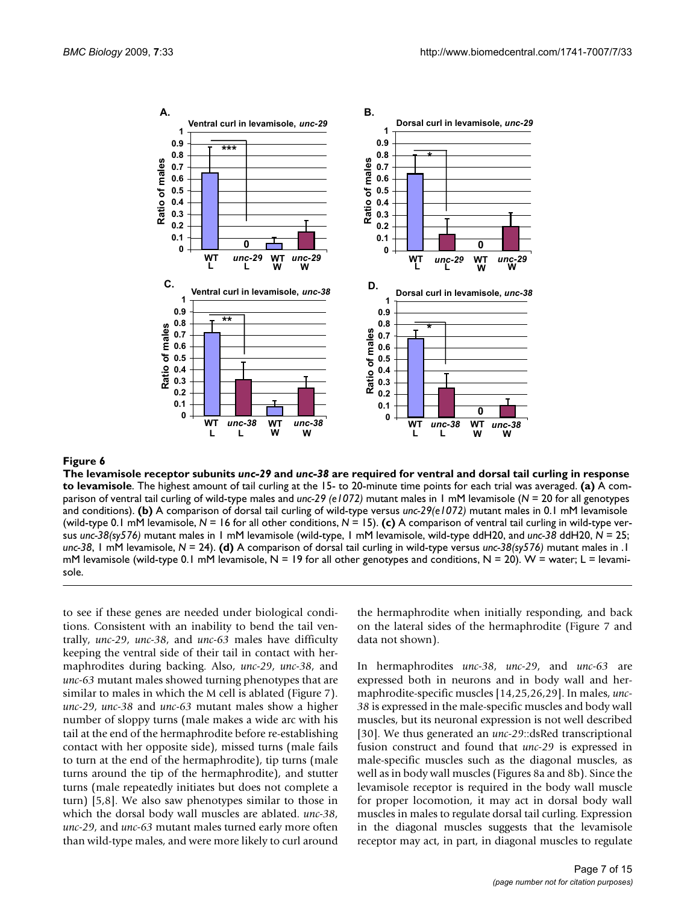

# **Figure 6** The levamisole receptor subunits *unc-29* and *unc-38* are required for ventral and dorsal tail curling in response to levamisole

**The levamisole receptor subunits** *unc-29* **and** *unc-38* **are required for ventral and dorsal tail curling in response to levamisole**. The highest amount of tail curling at the 15- to 20-minute time points for each trial was averaged. **(a)** A comparison of ventral tail curling of wild-type males and *unc-29 (e1072)* mutant males in 1 mM levamisole (*N* = 20 for all genotypes and conditions). **(b)** A comparison of dorsal tail curling of wild-type versus *unc-29(e1072)* mutant males in 0.1 mM levamisole (wild-type 0.1 mM levamisole, *N* = 16 for all other conditions, *N* = 15). **(c)** A comparison of ventral tail curling in wild-type versus *unc-38(sy576)* mutant males in 1 mM levamisole (wild-type, 1 mM levamisole, wild-type ddH20, and *unc-38* ddH20, *N* = 25; *unc-38*, 1 mM levamisole, *N* = 24). **(d)** A comparison of dorsal tail curling in wild-type versus *unc-38(sy576)* mutant males in .1 mM levamisole (wild-type 0.1 mM levamisole,  $N = 19$  for all other genotypes and conditions,  $N = 20$ ). W = water; L = levamisole.

to see if these genes are needed under biological conditions. Consistent with an inability to bend the tail ventrally, *unc-29*, *unc-38*, and *unc-63* males have difficulty keeping the ventral side of their tail in contact with hermaphrodites during backing. Also, *unc-29*, *unc-38*, and *unc-63* mutant males showed turning phenotypes that are similar to males in which the M cell is ablated (Figure 7). *unc-29*, *unc-38* and *unc-63* mutant males show a higher number of sloppy turns (male makes a wide arc with his tail at the end of the hermaphrodite before re-establishing contact with her opposite side), missed turns (male fails to turn at the end of the hermaphrodite), tip turns (male turns around the tip of the hermaphrodite), and stutter turns (male repeatedly initiates but does not complete a turn) [5,8]. We also saw phenotypes similar to those in which the dorsal body wall muscles are ablated. *unc-38*, *unc-29*, and *unc-63* mutant males turned early more often than wild-type males, and were more likely to curl around

the hermaphrodite when initially responding, and back on the lateral sides of the hermaphrodite (Figure 7 and data not shown).

In hermaphrodites *unc-38*, *unc-29*, and *unc-63* are expressed both in neurons and in body wall and hermaphrodite-specific muscles [[14,](#page-13-1)[25](#page-13-2),26,29]. In males, *unc-38* is expressed in the male-specific muscles and body wall muscles, but its neuronal expression is not well described [30]. We thus generated an *unc-29*::dsRed transcriptional fusion construct and found that *unc-29* is expressed in male-specific muscles such as the diagonal muscles, as well as in body wall muscles (Figures 8a and 8b). Since the levamisole receptor is required in the body wall muscle for proper locomotion, it may act in dorsal body wall muscles in males to regulate dorsal tail curling. Expression in the diagonal muscles suggests that the levamisole receptor may act, in part, in diagonal muscles to regulate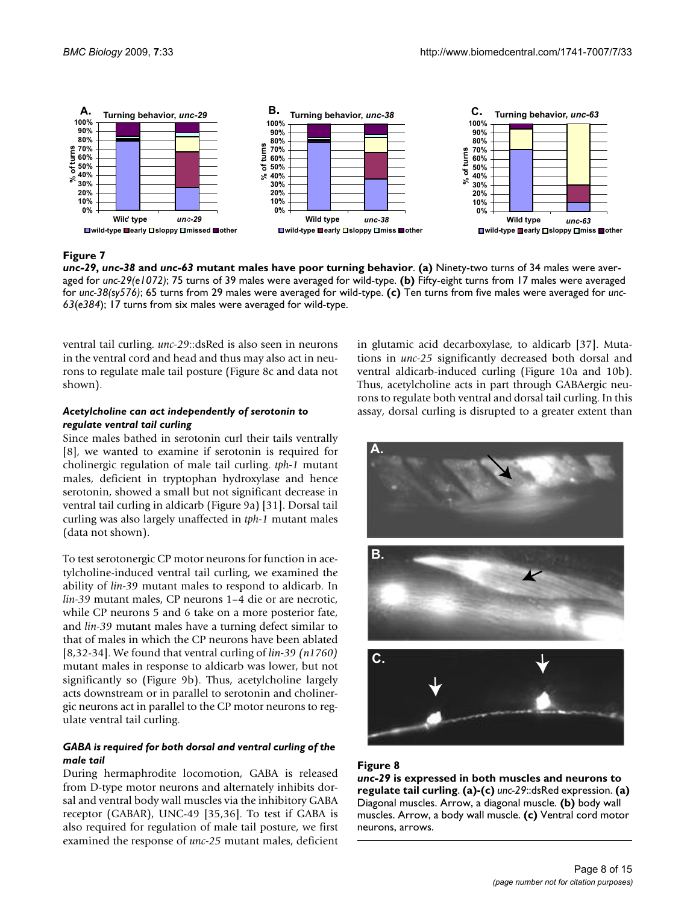

# **Figure 7**

*unc-29***,** *unc-38* **and** *unc-63* **mutant males have poor turning behavior**. **(a)** Ninety-two turns of 34 males were averaged for *unc-29(e1072)*; 75 turns of 39 males were averaged for wild-type. **(b)** Fifty-eight turns from 17 males were averaged for *unc-38(sy576)*; 65 turns from 29 males were averaged for wild-type. **(c)** Ten turns from five males were averaged for *unc-63*(*e384*); 17 turns from six males were averaged for wild-type.

ventral tail curling. *unc-29*::dsRed is also seen in neurons in the ventral cord and head and thus may also act in neurons to regulate male tail posture (Figure 8c and data not shown).

## *Acetylcholine can act independently of serotonin to regulate ventral tail curling*

Since males bathed in serotonin curl their tails ventrally [8], we wanted to examine if serotonin is required for cholinergic regulation of male tail curling. *tph-1* mutant males, deficient in tryptophan hydroxylase and hence serotonin, showed a small but not significant decrease in ventral tail curling in aldicarb (Figure 9a) [31]. Dorsal tail curling was also largely unaffected in *tph-1* mutant males (data not shown).

To test serotonergic CP motor neurons for function in acetylcholine-induced ventral tail curling, we examined the ability of *lin-39* mutant males to respond to aldicarb. In *lin-39* mutant males, CP neurons 1–4 die or are necrotic, while CP neurons 5 and 6 take on a more posterior fate, and *lin-39* mutant males have a turning defect similar to that of males in which the CP neurons have been ablated [8,32-34]. We found that ventral curling of *lin-39 (n1760)* mutant males in response to aldicarb was lower, but not significantly so (Figure 9b). Thus, acetylcholine largely acts downstream or in parallel to serotonin and cholinergic neurons act in parallel to the CP motor neurons to regulate ventral tail curling.

### *GABA is required for both dorsal and ventral curling of the male tail*

During hermaphrodite locomotion, GABA is released from D-type motor neurons and alternately inhibits dorsal and ventral body wall muscles via the inhibitory GABA receptor (GABAR), UNC-49 [\[35](#page-13-3),36]. To test if GABA is also required for regulation of male tail posture, we first examined the response of *unc-25* mutant males, deficient in glutamic acid decarboxylase, to aldicarb [[37\]](#page-13-4). Mutations in *unc-25* significantly decreased both dorsal and ventral aldicarb-induced curling (Figure 10a and 10b). Thus, acetylcholine acts in part through GABAergic neurons to regulate both ventral and dorsal tail curling. In this assay, dorsal curling is disrupted to a greater extent than



### **Figure 8**

*unc-29* **is expressed in both muscles and neurons to regulate tail curling**. **(a)-(c)** *unc-29*::dsRed expression. **(a)**  Diagonal muscles. Arrow, a diagonal muscle. **(b)** body wall muscles. Arrow, a body wall muscle. **(c)** Ventral cord motor neurons, arrows.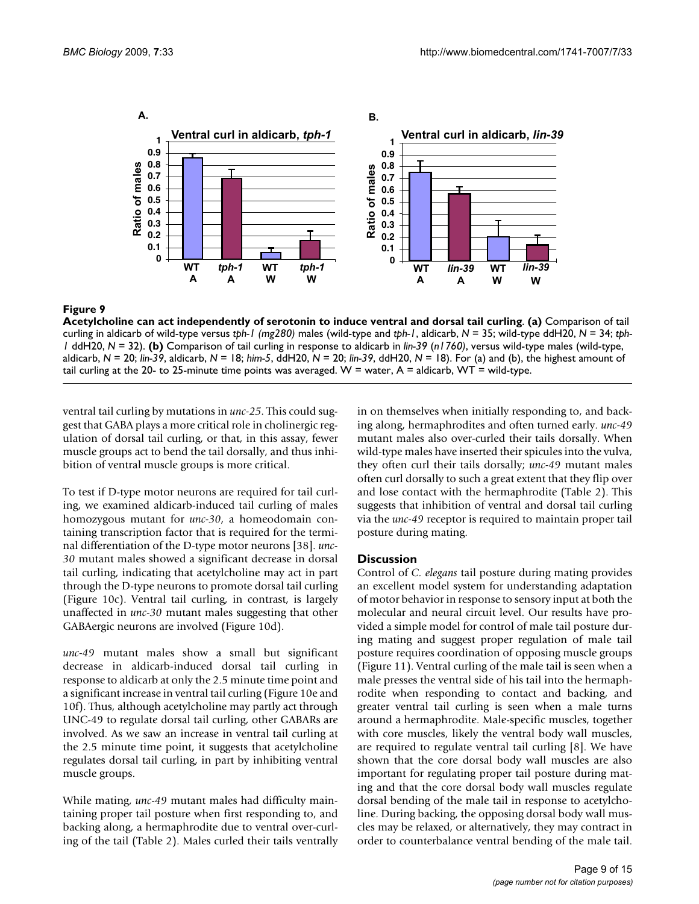

#### Acetylcholine can act independently of serotoni **Figure 9** n to induce ventral and dorsal tail curling

**Acetylcholine can act independently of serotonin to induce ventral and dorsal tail curling**. **(a)** Comparison of tail curling in aldicarb of wild-type versus *tph-1 (mg280)* males (wild-type and *tph-1*, aldicarb, *N* = 35; wild-type ddH20, *N* = 34; *tph-1* ddH20, *N* = 32). **(b)** Comparison of tail curling in response to aldicarb in *lin-39* (*n1760)*, versus wild-type males (wild-type, aldicarb, *N* = 20; *lin-39*, aldicarb, *N* = 18; *him-5*, ddH20, *N* = 20; *lin-39*, ddH20, *N* = 18). For (a) and (b), the highest amount of tail curling at the 20- to 25-minute time points was averaged. W = water,  $A =$  aldicarb, WT = wild-type.

ventral tail curling by mutations in *unc-25*. This could suggest that GABA plays a more critical role in cholinergic regulation of dorsal tail curling, or that, in this assay, fewer muscle groups act to bend the tail dorsally, and thus inhibition of ventral muscle groups is more critical.

To test if D-type motor neurons are required for tail curling, we examined aldicarb-induced tail curling of males homozygous mutant for *unc-30*, a homeodomain containing transcription factor that is required for the terminal differentiation of the D-type motor neurons [38]. *unc-30* mutant males showed a significant decrease in dorsal tail curling, indicating that acetylcholine may act in part through the D-type neurons to promote dorsal tail curling (Figure 10c). Ventral tail curling, in contrast, is largely unaffected in *unc-30* mutant males suggesting that other GABAergic neurons are involved (Figure 10d).

*unc-49* mutant males show a small but significant decrease in aldicarb-induced dorsal tail curling in response to aldicarb at only the 2.5 minute time point and a significant increase in ventral tail curling (Figure 10e and 10f). Thus, although acetylcholine may partly act through UNC-49 to regulate dorsal tail curling, other GABARs are involved. As we saw an increase in ventral tail curling at the 2.5 minute time point, it suggests that acetylcholine regulates dorsal tail curling, in part by inhibiting ventral muscle groups.

While mating, *unc-49* mutant males had difficulty maintaining proper tail posture when first responding to, and backing along, a hermaphrodite due to ventral over-curling of the tail (Table 2). Males curled their tails ventrally in on themselves when initially responding to, and backing along, hermaphrodites and often turned early. *unc-49* mutant males also over-curled their tails dorsally. When wild-type males have inserted their spicules into the vulva, they often curl their tails dorsally; *unc-49* mutant males often curl dorsally to such a great extent that they flip over and lose contact with the hermaphrodite (Table 2). This suggests that inhibition of ventral and dorsal tail curling via the *unc-49* receptor is required to maintain proper tail posture during mating.

#### **Discussion**

Control of *C. elegans* tail posture during mating provides an excellent model system for understanding adaptation of motor behavior in response to sensory input at both the molecular and neural circuit level. Our results have provided a simple model for control of male tail posture during mating and suggest proper regulation of male tail posture requires coordination of opposing muscle groups (Figure 11). Ventral curling of the male tail is seen when a male presses the ventral side of his tail into the hermaphrodite when responding to contact and backing, and greater ventral tail curling is seen when a male turns around a hermaphrodite. Male-specific muscles, together with core muscles, likely the ventral body wall muscles, are required to regulate ventral tail curling [8]. We have shown that the core dorsal body wall muscles are also important for regulating proper tail posture during mating and that the core dorsal body wall muscles regulate dorsal bending of the male tail in response to acetylcholine. During backing, the opposing dorsal body wall muscles may be relaxed, or alternatively, they may contract in order to counterbalance ventral bending of the male tail.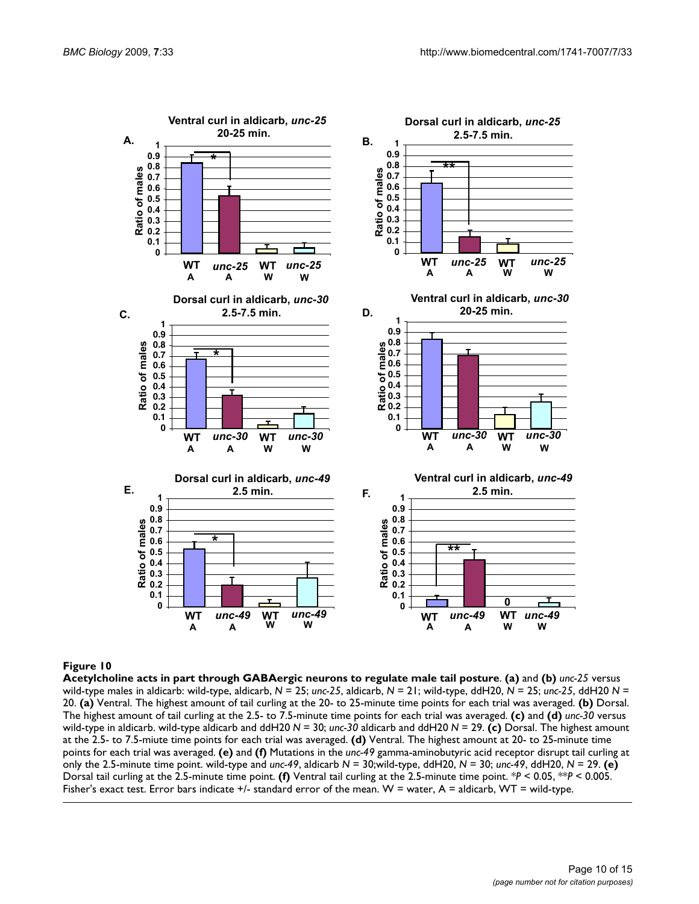

#### Figure 10

**Acetylcholine acts in part through GABAergic neurons to regulate male tail posture**. **(a)** and **(b)** *unc-25* versus wild-type males in aldicarb: wild-type, aldicarb, *N* = 25; *unc-25*, aldicarb, *N* = 21; wild-type, ddH20, *N* = 25; *unc-25*, ddH20 *N* = 20. **(a)** Ventral. The highest amount of tail curling at the 20- to 25-minute time points for each trial was averaged. **(b)** Dorsal. The highest amount of tail curling at the 2.5- to 7.5-minute time points for each trial was averaged. **(c)** and **(d)** *unc-30* versus wild-type in aldicarb. wild-type aldicarb and ddH20 *N* = 30; *unc-30* aldicarb and ddH20 *N* = 29. **(c)** Dorsal. The highest amount at the 2.5- to 7.5-miute time points for each trial was averaged. **(d)** Ventral. The highest amount at 20- to 25-minute time points for each trial was averaged. **(e)** and **(f)** Mutations in the *unc-49* gamma-aminobutyric acid receptor disrupt tail curling at only the 2.5-minute time point. wild-type and *unc-49*, aldicarb *N* = 30;wild-type, ddH20, *N* = 30; *unc-49*, ddH20, *N* = 29. **(e)**  Dorsal tail curling at the 2.5-minute time point. **(f)** Ventral tail curling at the 2.5-minute time point. \**P* < 0.05, \*\**P* < 0.005. Fisher's exact test. Error bars indicate +/- standard error of the mean. W = water,  $A =$  aldicarb, WT = wild-type.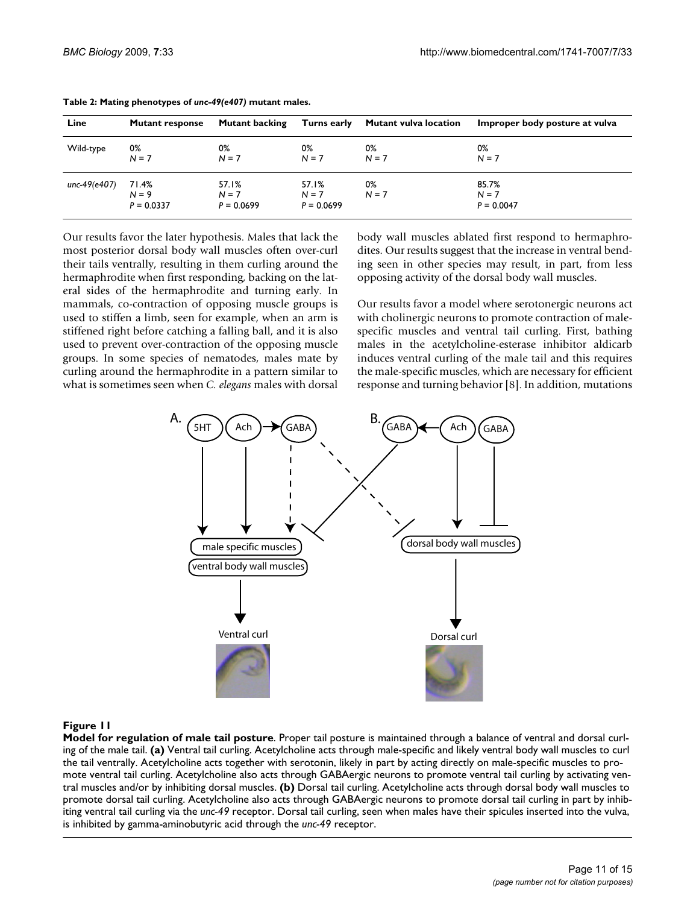| Line         | <b>Mutant response</b>           | <b>Mutant backing</b>            | Turns early                      | <b>Mutant vulva location</b> | Improper body posture at vulva   |
|--------------|----------------------------------|----------------------------------|----------------------------------|------------------------------|----------------------------------|
| Wild-type    | 0%<br>$N = 7$                    | 0%<br>$N = 7$                    | 0%<br>$N = 7$                    | 0%<br>$N = 7$                | 0%<br>$N = 7$                    |
| unc-49(e407) | 71.4%<br>$N = 9$<br>$P = 0.0337$ | 57.1%<br>$N = 7$<br>$P = 0.0699$ | 57.1%<br>$N = 7$<br>$P = 0.0699$ | 0%<br>$N = 7$                | 85.7%<br>$N = 7$<br>$P = 0.0047$ |

#### **Table 2: Mating phenotypes of** *unc-49(e407)* **mutant males.**

Our results favor the later hypothesis. Males that lack the most posterior dorsal body wall muscles often over-curl their tails ventrally, resulting in them curling around the hermaphrodite when first responding, backing on the lateral sides of the hermaphrodite and turning early. In mammals, co-contraction of opposing muscle groups is used to stiffen a limb, seen for example, when an arm is stiffened right before catching a falling ball, and it is also used to prevent over-contraction of the opposing muscle groups. In some species of nematodes, males mate by curling around the hermaphrodite in a pattern similar to what is sometimes seen when *C. elegans* males with dorsal

body wall muscles ablated first respond to hermaphrodites. Our results suggest that the increase in ventral bending seen in other species may result, in part, from less opposing activity of the dorsal body wall muscles.

Our results favor a model where serotonergic neurons act with cholinergic neurons to promote contraction of malespecific muscles and ventral tail curling. First, bathing males in the acetylcholine-esterase inhibitor aldicarb induces ventral curling of the male tail and this requires the male-specific muscles, which are necessary for efficient response and turning behavior [8]. In addition, mutations



### **Figure 11**

**Model for regulation of male tail posture**. Proper tail posture is maintained through a balance of ventral and dorsal curling of the male tail. **(a)** Ventral tail curling. Acetylcholine acts through male-specific and likely ventral body wall muscles to curl the tail ventrally. Acetylcholine acts together with serotonin, likely in part by acting directly on male-specific muscles to promote ventral tail curling. Acetylcholine also acts through GABAergic neurons to promote ventral tail curling by activating ventral muscles and/or by inhibiting dorsal muscles. **(b)** Dorsal tail curling. Acetylcholine acts through dorsal body wall muscles to promote dorsal tail curling. Acetylcholine also acts through GABAergic neurons to promote dorsal tail curling in part by inhibiting ventral tail curling via the *unc-49* receptor. Dorsal tail curling, seen when males have their spicules inserted into the vulva, is inhibited by gamma-aminobutyric acid through the *unc-49* receptor.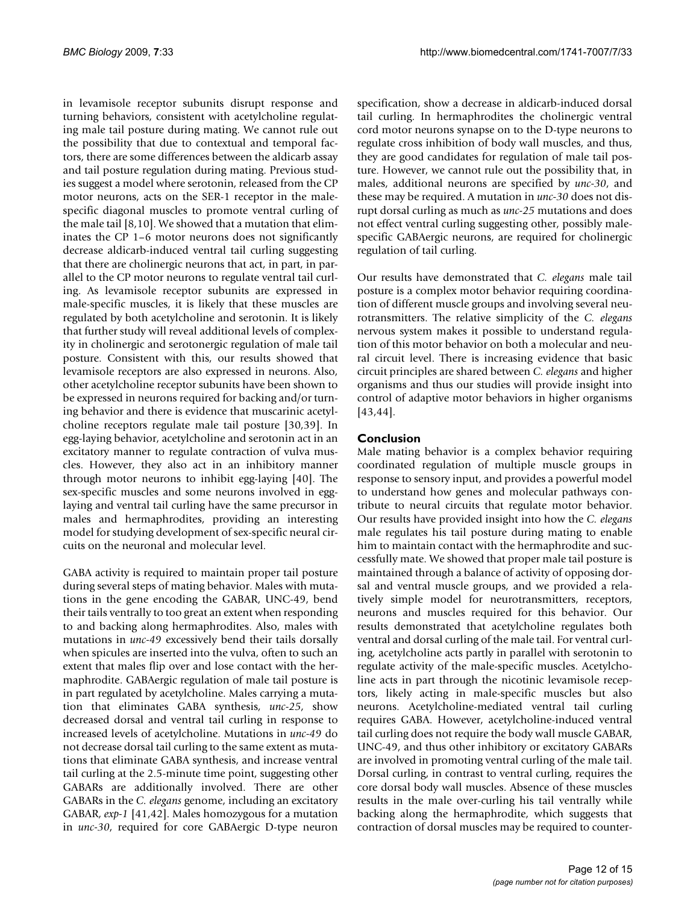in levamisole receptor subunits disrupt response and turning behaviors, consistent with acetylcholine regulating male tail posture during mating. We cannot rule out the possibility that due to contextual and temporal factors, there are some differences between the aldicarb assay and tail posture regulation during mating. Previous studies suggest a model where serotonin, released from the CP motor neurons, acts on the SER-1 receptor in the malespecific diagonal muscles to promote ventral curling of the male tail [8,10]. We showed that a mutation that eliminates the CP 1–6 motor neurons does not significantly decrease aldicarb-induced ventral tail curling suggesting that there are cholinergic neurons that act, in part, in parallel to the CP motor neurons to regulate ventral tail curling. As levamisole receptor subunits are expressed in male-specific muscles, it is likely that these muscles are regulated by both acetylcholine and serotonin. It is likely that further study will reveal additional levels of complexity in cholinergic and serotonergic regulation of male tail posture. Consistent with this, our results showed that levamisole receptors are also expressed in neurons. Also, other acetylcholine receptor subunits have been shown to be expressed in neurons required for backing and/or turning behavior and there is evidence that muscarinic acetylcholine receptors regulate male tail posture [30,39]. In egg-laying behavior, acetylcholine and serotonin act in an excitatory manner to regulate contraction of vulva muscles. However, they also act in an inhibitory manner through motor neurons to inhibit egg-laying [40]. The sex-specific muscles and some neurons involved in egglaying and ventral tail curling have the same precursor in males and hermaphrodites, providing an interesting model for studying development of sex-specific neural circuits on the neuronal and molecular level.

GABA activity is required to maintain proper tail posture during several steps of mating behavior. Males with mutations in the gene encoding the GABAR, UNC-49, bend their tails ventrally to too great an extent when responding to and backing along hermaphrodites. Also, males with mutations in *unc-49* excessively bend their tails dorsally when spicules are inserted into the vulva, often to such an extent that males flip over and lose contact with the hermaphrodite. GABAergic regulation of male tail posture is in part regulated by acetylcholine. Males carrying a mutation that eliminates GABA synthesis, *unc-25*, show decreased dorsal and ventral tail curling in response to increased levels of acetylcholine. Mutations in *unc-49* do not decrease dorsal tail curling to the same extent as mutations that eliminate GABA synthesis, and increase ventral tail curling at the 2.5-minute time point, suggesting other GABARs are additionally involved. There are other GABARs in the *C. elegans* genome, including an excitatory GABAR, *exp-1* [41,42]. Males homozygous for a mutation in *unc-30*, required for core GABAergic D-type neuron

specification, show a decrease in aldicarb-induced dorsal tail curling. In hermaphrodites the cholinergic ventral cord motor neurons synapse on to the D-type neurons to regulate cross inhibition of body wall muscles, and thus, they are good candidates for regulation of male tail posture. However, we cannot rule out the possibility that, in males, additional neurons are specified by *unc-30*, and these may be required. A mutation in *unc-30* does not disrupt dorsal curling as much as *unc-25* mutations and does not effect ventral curling suggesting other, possibly malespecific GABAergic neurons, are required for cholinergic regulation of tail curling.

Our results have demonstrated that *C. elegans* male tail posture is a complex motor behavior requiring coordination of different muscle groups and involving several neurotransmitters. The relative simplicity of the *C. elegans* nervous system makes it possible to understand regulation of this motor behavior on both a molecular and neural circuit level. There is increasing evidence that basic circuit principles are shared between *C. elegans* and higher organisms and thus our studies will provide insight into control of adaptive motor behaviors in higher organisms [43,44].

# **Conclusion**

Male mating behavior is a complex behavior requiring coordinated regulation of multiple muscle groups in response to sensory input, and provides a powerful model to understand how genes and molecular pathways contribute to neural circuits that regulate motor behavior. Our results have provided insight into how the *C. elegans* male regulates his tail posture during mating to enable him to maintain contact with the hermaphrodite and successfully mate. We showed that proper male tail posture is maintained through a balance of activity of opposing dorsal and ventral muscle groups, and we provided a relatively simple model for neurotransmitters, receptors, neurons and muscles required for this behavior. Our results demonstrated that acetylcholine regulates both ventral and dorsal curling of the male tail. For ventral curling, acetylcholine acts partly in parallel with serotonin to regulate activity of the male-specific muscles. Acetylcholine acts in part through the nicotinic levamisole receptors, likely acting in male-specific muscles but also neurons. Acetylcholine-mediated ventral tail curling requires GABA. However, acetylcholine-induced ventral tail curling does not require the body wall muscle GABAR, UNC-49, and thus other inhibitory or excitatory GABARs are involved in promoting ventral curling of the male tail. Dorsal curling, in contrast to ventral curling, requires the core dorsal body wall muscles. Absence of these muscles results in the male over-curling his tail ventrally while backing along the hermaphrodite, which suggests that contraction of dorsal muscles may be required to counter-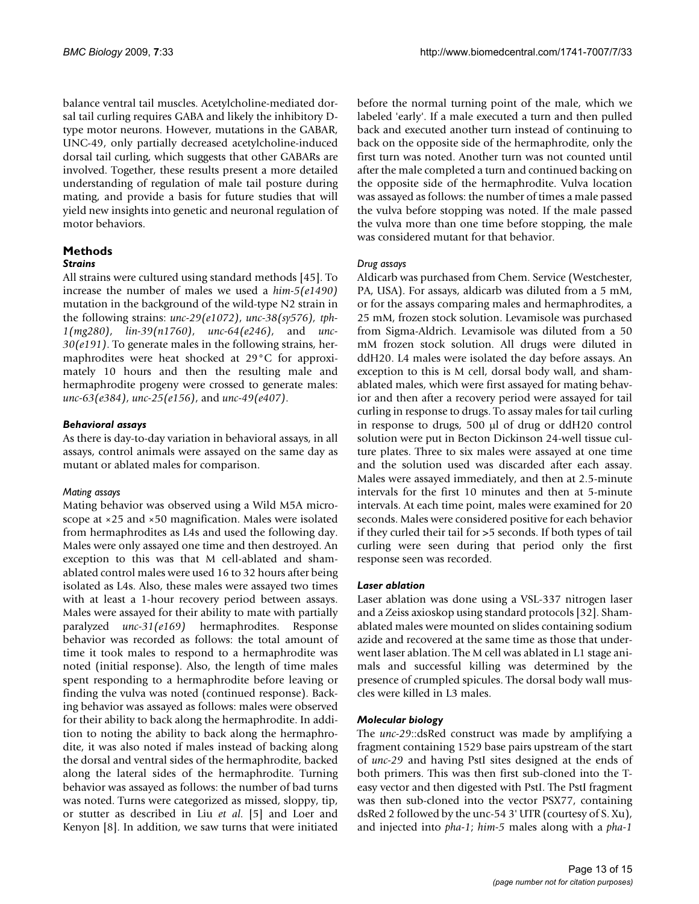balance ventral tail muscles. Acetylcholine-mediated dorsal tail curling requires GABA and likely the inhibitory Dtype motor neurons. However, mutations in the GABAR, UNC-49, only partially decreased acetylcholine-induced dorsal tail curling, which suggests that other GABARs are involved. Together, these results present a more detailed understanding of regulation of male tail posture during mating, and provide a basis for future studies that will yield new insights into genetic and neuronal regulation of motor behaviors.

# **Methods**

# *Strains*

All strains were cultured using standard methods [45]. To increase the number of males we used a *him-5(e1490)* mutation in the background of the wild-type N2 strain in the following strains: *unc-29(e1072)*, *unc-38(sy576), tph-1(mg280)*, *lin-39(n1760)*, *unc-64(e246)*, and *unc-30(e191)*. To generate males in the following strains, hermaphrodites were heat shocked at 29°C for approximately 10 hours and then the resulting male and hermaphrodite progeny were crossed to generate males: *unc-63(e384)*, *unc-25(e156)*, and *unc-49(e407)*.

# *Behavioral assays*

As there is day-to-day variation in behavioral assays, in all assays, control animals were assayed on the same day as mutant or ablated males for comparison.

# *Mating assays*

Mating behavior was observed using a Wild M5A microscope at ×25 and ×50 magnification. Males were isolated from hermaphrodites as L4s and used the following day. Males were only assayed one time and then destroyed. An exception to this was that M cell-ablated and shamablated control males were used 16 to 32 hours after being isolated as L4s. Also, these males were assayed two times with at least a 1-hour recovery period between assays. Males were assayed for their ability to mate with partially paralyzed *unc-31(e169)* hermaphrodites. Response behavior was recorded as follows: the total amount of time it took males to respond to a hermaphrodite was noted (initial response). Also, the length of time males spent responding to a hermaphrodite before leaving or finding the vulva was noted (continued response). Backing behavior was assayed as follows: males were observed for their ability to back along the hermaphrodite. In addition to noting the ability to back along the hermaphrodite, it was also noted if males instead of backing along the dorsal and ventral sides of the hermaphrodite, backed along the lateral sides of the hermaphrodite. Turning behavior was assayed as follows: the number of bad turns was noted. Turns were categorized as missed, sloppy, tip, or stutter as described in Liu *et al*. [5] and Loer and Kenyon [8]. In addition, we saw turns that were initiated

before the normal turning point of the male, which we labeled 'early'. If a male executed a turn and then pulled back and executed another turn instead of continuing to back on the opposite side of the hermaphrodite, only the first turn was noted. Another turn was not counted until after the male completed a turn and continued backing on the opposite side of the hermaphrodite. Vulva location was assayed as follows: the number of times a male passed the vulva before stopping was noted. If the male passed the vulva more than one time before stopping, the male was considered mutant for that behavior.

# *Drug assays*

Aldicarb was purchased from Chem. Service (Westchester, PA, USA). For assays, aldicarb was diluted from a 5 mM, or for the assays comparing males and hermaphrodites, a 25 mM, frozen stock solution. Levamisole was purchased from Sigma-Aldrich. Levamisole was diluted from a 50 mM frozen stock solution. All drugs were diluted in ddH20. L4 males were isolated the day before assays. An exception to this is M cell, dorsal body wall, and shamablated males, which were first assayed for mating behavior and then after a recovery period were assayed for tail curling in response to drugs. To assay males for tail curling in response to drugs, 500 μl of drug or ddH20 control solution were put in Becton Dickinson 24-well tissue culture plates. Three to six males were assayed at one time and the solution used was discarded after each assay. Males were assayed immediately, and then at 2.5-minute intervals for the first 10 minutes and then at 5-minute intervals. At each time point, males were examined for 20 seconds. Males were considered positive for each behavior if they curled their tail for >5 seconds. If both types of tail curling were seen during that period only the first response seen was recorded.

### *Laser ablation*

Laser ablation was done using a VSL-337 nitrogen laser and a Zeiss axioskop using standard protocols [32]. Shamablated males were mounted on slides containing sodium azide and recovered at the same time as those that underwent laser ablation. The M cell was ablated in L1 stage animals and successful killing was determined by the presence of crumpled spicules. The dorsal body wall muscles were killed in L3 males.

### *Molecular biology*

The *unc-29*::dsRed construct was made by amplifying a fragment containing 1529 base pairs upstream of the start of *unc-29* and having PstI sites designed at the ends of both primers. This was then first sub-cloned into the Teasy vector and then digested with PstI. The PstI fragment was then sub-cloned into the vector PSX77, containing dsRed 2 followed by the unc-54 3' UTR (courtesy of S. Xu), and injected into *pha-1*; *him-5* males along with a *pha-1*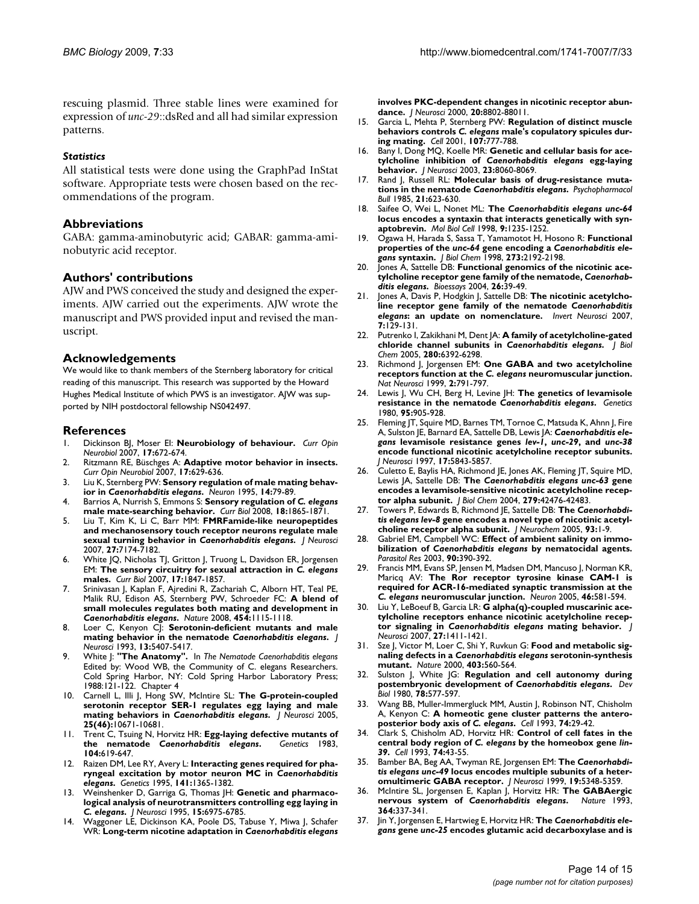rescuing plasmid. Three stable lines were examined for expression of *unc-29*::dsRed and all had similar expression patterns.

#### *Statistics*

All statistical tests were done using the GraphPad InStat software. Appropriate tests were chosen based on the recommendations of the program.

#### **Abbreviations**

GABA: gamma-aminobutyric acid; GABAR: gamma-aminobutyric acid receptor.

#### **Authors' contributions**

AJW and PWS conceived the study and designed the experiments. AJW carried out the experiments. AJW wrote the manuscript and PWS provided input and revised the manuscript.

#### **Acknowledgements**

We would like to thank members of the Sternberg laboratory for critical reading of this manuscript. This research was supported by the Howard Hughes Medical Institute of which PWS is an investigator. AJW was supported by NIH postdoctoral fellowship NS042497.

#### **References**

- 1. Dickinson BJ, Moser EI: **[Neurobiology of behaviour.](http://www.ncbi.nlm.nih.gov/entrez/query.fcgi?cmd=Retrieve&db=PubMed&dopt=Abstract&list_uids=18339545)** *Curr Opin Neurobiol* 2007, **17:**672-674.
- 2. Ritzmann RE, Büschges A: **[Adaptive motor behavior in insects.](http://www.ncbi.nlm.nih.gov/entrez/query.fcgi?cmd=Retrieve&db=PubMed&dopt=Abstract&list_uids=18308559)** *Curr Opin Neurobiol* 2007, **17:**629-636.
- 3. Liu K, Sternberg PW: **Sensory regulation of male mating behavior in** *Caenorhabditis elegans***[.](http://www.ncbi.nlm.nih.gov/entrez/query.fcgi?cmd=Retrieve&db=PubMed&dopt=Abstract&list_uids=7826644)** *Neuron* 1995, **14:**79-89.
- 4. Barrios A, Nurrish S, Emmons S: **Sensory regulation of** *C. elegans* **[male mate-searching behavior.](http://www.ncbi.nlm.nih.gov/entrez/query.fcgi?cmd=Retrieve&db=PubMed&dopt=Abstract&list_uids=19062284)** *Curr Biol* 2008, **18:**1865-1871.
- 5. Liu T, Kim K, Li C, Barr MM: **FMRFamide-like neuropeptides and mechanosensory touch receptor neurons regulate male sexual turning behavior in** *Caenorhabditis elegans***[.](http://www.ncbi.nlm.nih.gov/entrez/query.fcgi?cmd=Retrieve&db=PubMed&dopt=Abstract&list_uids=17611271)** *J Neurosci* 2007, **27:**7174-7182.
- 6. White JQ, Nicholas TJ, Gritton J, Truong L, Davidson ER, Jorgensen EM: **The sensory circuitry for sexual attraction in** *C. elegans* **[males.](http://www.ncbi.nlm.nih.gov/entrez/query.fcgi?cmd=Retrieve&db=PubMed&dopt=Abstract&list_uids=17964166)** *Curr Biol* 2007, **17:**1847-1857.
- 7. Srinivasan J, Kaplan F, Ajredini R, Zachariah C, Alborn HT, Teal PE, Malik RU, Edison AS, Sternberg PW, Schroeder FC: **A blend of small molecules regulates both mating and development in** *Caenorhabditis elegans***[.](http://www.ncbi.nlm.nih.gov/entrez/query.fcgi?cmd=Retrieve&db=PubMed&dopt=Abstract&list_uids=18650807)** *Nature* 2008, **454:**1115-1118.
- 8. Loer C, Kenyon CJ: **Serotonin-deficient mutants and male mating behavior in the nematode** *Caenorhabditis elegans***[.](http://www.ncbi.nlm.nih.gov/entrez/query.fcgi?cmd=Retrieve&db=PubMed&dopt=Abstract&list_uids=8254383)** *J Neurosci* 1993, **13:**5407-5417.
- 9. White J: **"The Anatomy".** In *The Nematode Caenorhabditis elegans* Edited by: Wood WB, the Community of C. elegans Researchers. Cold Spring Harbor, NY: Cold Spring Harbor Laboratory Press; 1988:121-122. Chapter 4
- 10. Carnell L, Illi J, Hong SW, McIntire SL: **The G-protein-coupled serotonin receptor SER-1 regulates egg laying and male mating behaviors in** *Caenorhabditis elegans***[.](http://www.ncbi.nlm.nih.gov/entrez/query.fcgi?cmd=Retrieve&db=PubMed&dopt=Abstract&list_uids=16291940)** *J Neurosci* 2005, **25(46):**10671-10681.
- 11. Trent C, Tsuing N, Horvitz HR: **Egg-laying defective mutants of the nematode** *Caenorhabditis elegans***[.](http://www.ncbi.nlm.nih.gov/entrez/query.fcgi?cmd=Retrieve&db=PubMed&dopt=Abstract&list_uids=11813735)** *Genetics* 1983, **104:**619-647.
- 12. Raizen DM, Lee RY, Avery L: **Interacting genes required for pharyngeal excitation by motor neuron MC in** *Caenorhabditis elegans***[.](http://www.ncbi.nlm.nih.gov/entrez/query.fcgi?cmd=Retrieve&db=PubMed&dopt=Abstract&list_uids=8601480)** *Genetics* 1995, **141:**1365-1382.
- 13. Weinshenker D, Garriga G, Thomas JH: **Genetic and pharmacological analysis of neurotransmitters controlling egg laying in** *C. elegans***[.](http://www.ncbi.nlm.nih.gov/entrez/query.fcgi?cmd=Retrieve&db=PubMed&dopt=Abstract&list_uids=7472454)** *J Neurosci* 1995, **15:**6975-6785.
- <span id="page-13-1"></span>14. Waggoner LE, Dickinson KA, Poole DS, Tabuse Y, Miwa J, Schafer WR: **Long-term nicotine adaptation in** *Caenorhabditis elegans*

**[involves PKC-dependent changes in nicotinic receptor abun](http://www.ncbi.nlm.nih.gov/entrez/query.fcgi?cmd=Retrieve&db=PubMed&dopt=Abstract&list_uids=11102488)[dance.](http://www.ncbi.nlm.nih.gov/entrez/query.fcgi?cmd=Retrieve&db=PubMed&dopt=Abstract&list_uids=11102488)** *J Neurosci* 2000, **20:**8802-88011.

- 15. Garcia L, Mehta P, Sternberg PW: **Regulation of distinct muscle behaviors controls** *C. elegans* **[male's copulatory spicules dur](http://www.ncbi.nlm.nih.gov/entrez/query.fcgi?cmd=Retrieve&db=PubMed&dopt=Abstract&list_uids=11747813)[ing mating.](http://www.ncbi.nlm.nih.gov/entrez/query.fcgi?cmd=Retrieve&db=PubMed&dopt=Abstract&list_uids=11747813)** *Cell* 2001, **107:**777-788.
- <span id="page-13-0"></span>16. Bany I, Dong MQ, Koelle MR: **Genetic and cellular basis for acetylcholine inhibition of** *Caenorhabditis elegans* **[egg-laying](http://www.ncbi.nlm.nih.gov/entrez/query.fcgi?cmd=Retrieve&db=PubMed&dopt=Abstract&list_uids=12954868) [behavior.](http://www.ncbi.nlm.nih.gov/entrez/query.fcgi?cmd=Retrieve&db=PubMed&dopt=Abstract&list_uids=12954868)** *J Neurosci* 2003, **23:**8060-8069.
- 17. Rand J, Russell RL: Molecular basis of drug-resistance muta**tions in the nematode** *Caenorhabditis elegans***[.](http://www.ncbi.nlm.nih.gov/entrez/query.fcgi?cmd=Retrieve&db=PubMed&dopt=Abstract&list_uids=4034879)** *Psychopharmacol Bull* 1985, **21:**623-630.
- 18. Saifee O, Wei L, Nonet ML: **The** *Caenorhabditis elegans unc-64* **[locus encodes a syntaxin that interacts genetically with syn](http://www.ncbi.nlm.nih.gov/entrez/query.fcgi?cmd=Retrieve&db=PubMed&dopt=Abstract&list_uids=9614171)[aptobrevin.](http://www.ncbi.nlm.nih.gov/entrez/query.fcgi?cmd=Retrieve&db=PubMed&dopt=Abstract&list_uids=9614171)** *Mol Biol Cell* 1998, **9:**1235-1252.
- 19. Ogawa H, Harada S, Sassa T, Yamamotot H, Hosono R: **Functional properties of the** *unc-64* **gene encoding a** *Caenorhabditis elegans* **[syntaxin.](http://www.ncbi.nlm.nih.gov/entrez/query.fcgi?cmd=Retrieve&db=PubMed&dopt=Abstract&list_uids=9442061)** *J Biol Chem* 1998, **273:**2192-2198.
- 20. Jones A, Sattelle DB: **Functional genomics of the nicotinic acetylcholine receptor gene family of the nematode,** *Caenorhabditis elegans***[.](http://www.ncbi.nlm.nih.gov/entrez/query.fcgi?cmd=Retrieve&db=PubMed&dopt=Abstract&list_uids=14696039)** *Bioessays* 2004, **26:**39-49.
- Jones A, Davis P, Hodgkin J, Sattelle DB: The nicotinic acetylcho**line receptor gene family of the nematode** *Caenorhabditis elegans***[: an update on nomenclature.](http://www.ncbi.nlm.nih.gov/entrez/query.fcgi?cmd=Retrieve&db=PubMed&dopt=Abstract&list_uids=17503100)** *Invert Neurosci* 2007, **7:**129-131.
- 22. Putrenko I, Zakikhani M, Dent JA: **A family of acetylcholine-gated chloride channel subunits in** *Caenorhabditis elegans***[.](http://www.ncbi.nlm.nih.gov/entrez/query.fcgi?cmd=Retrieve&db=PubMed&dopt=Abstract&list_uids=15579462)** *J Biol Chem* 2005, **280:**6392-6298.
- 23. Richmond J, Jorgensen EM: **One GABA and two acetylcholine receptors function at the** *C. elegans* **[neuromuscular junction.](http://www.ncbi.nlm.nih.gov/entrez/query.fcgi?cmd=Retrieve&db=PubMed&dopt=Abstract&list_uids=10461217)** *Nat Neurosci* 1999, **2:**791-797.
- 24. Lewis J, Wu CH, Berg H, Levine JH: **The genetics of levamisole resistance in the nematode** *Caenorhabditis elegans***[.](http://www.ncbi.nlm.nih.gov/entrez/query.fcgi?cmd=Retrieve&db=PubMed&dopt=Abstract&list_uids=7203008)** *Genetics* 1980, **95:**905-928.
- <span id="page-13-2"></span>25. Fleming JT, Squire MD, Barnes TM, Tornoe C, Matsuda K, Ahnn J, Fire A, Sulston JE, Barnard EA, Sattelle DB, Lewis JA: *Caenorhabditis elegans* **levamisole resistance genes** *lev-1***,** *unc-29***, and** *unc-38* **[encode functional nicotinic acetylcholine receptor subunits.](http://www.ncbi.nlm.nih.gov/entrez/query.fcgi?cmd=Retrieve&db=PubMed&dopt=Abstract&list_uids=9221782)** *J Neurosci* 1997, **17:**5843-5857.
- 26. Culetto E, Baylis HA, Richmond JE, Jones AK, Fleming JT, Squire MD, Lewis JA, Sattelle DB: **The** *Caenorhabditis elegans unc-63* **[gene](http://www.ncbi.nlm.nih.gov/entrez/query.fcgi?cmd=Retrieve&db=PubMed&dopt=Abstract&list_uids=15280391) [encodes a levamisole-sensitive nicotinic acetylcholine recep](http://www.ncbi.nlm.nih.gov/entrez/query.fcgi?cmd=Retrieve&db=PubMed&dopt=Abstract&list_uids=15280391)[tor alpha subunit.](http://www.ncbi.nlm.nih.gov/entrez/query.fcgi?cmd=Retrieve&db=PubMed&dopt=Abstract&list_uids=15280391)** *J Biol Chem* 2004, **279:**42476-42483.
- 27. Towers P, Edwards B, Richmond JE, Sattelle DB: **The** *Caenorhabditis elegans lev-8* **[gene encodes a novel type of nicotinic acetyl](http://www.ncbi.nlm.nih.gov/entrez/query.fcgi?cmd=Retrieve&db=PubMed&dopt=Abstract&list_uids=15773900)[choline receptor alpha subunit.](http://www.ncbi.nlm.nih.gov/entrez/query.fcgi?cmd=Retrieve&db=PubMed&dopt=Abstract&list_uids=15773900)** *J Neurochem* 2005, **93:**1-9.
- 28. Gabriel EM, Campbell WC: **Effect of ambient salinity on immobilization of** *Caenorhabditis elegans* **[by nematocidal agents.](http://www.ncbi.nlm.nih.gov/entrez/query.fcgi?cmd=Retrieve&db=PubMed&dopt=Abstract&list_uids=12739132)** *Parasitol Res* 2003, **90:**390-392.
- 29. Francis MM, Evans SP, Jensen M, Madsen DM, Mancuso J, Norman KR, Maricq AV: **The Ror receptor tyrosine kinase CAM-1 is required for ACR-16-mediated synaptic transmission at the** *C. elegans* **[neuromuscular junction.](http://www.ncbi.nlm.nih.gov/entrez/query.fcgi?cmd=Retrieve&db=PubMed&dopt=Abstract&list_uids=15944127)** *Neuron* 2005, **46:**581-594.
- 30. Liu Y, LeBoeuf B, Garcia LR: **G alpha(q)-coupled muscarinic acetylcholine receptors enhance nicotinic acetylcholine receptor signaling in** *Caenorhabditis elegans* **[mating behavior.](http://www.ncbi.nlm.nih.gov/entrez/query.fcgi?cmd=Retrieve&db=PubMed&dopt=Abstract&list_uids=17287516)** *J Neurosci* 2007, **27:**1411-1421.
- 31. Sze J, Victor M, Loer C, Shi Y, Ruvkun G: **Food and metabolic signaling defects in a** *Caenorhabditis elegans* **[serotonin-synthesis](http://www.ncbi.nlm.nih.gov/entrez/query.fcgi?cmd=Retrieve&db=PubMed&dopt=Abstract&list_uids=10676966) [mutant.](http://www.ncbi.nlm.nih.gov/entrez/query.fcgi?cmd=Retrieve&db=PubMed&dopt=Abstract&list_uids=10676966)** *Nature* 2000, **403:**560-564.
- 32. Sulston J, White JG: **Regulation and cell autonomy during postembryonic development of** *Caenorhabditis elegans***[.](http://www.ncbi.nlm.nih.gov/entrez/query.fcgi?cmd=Retrieve&db=PubMed&dopt=Abstract&list_uids=7190941)** *Dev Biol* 1980, **78:**577-597.
- 33. Wang BB, Muller-Immergluck MM, Austin J, Robinson NT, Chisholm A, Kenyon C: **A homeotic gene cluster patterns the anteroposterior body axis of** *C. elegans***[.](http://www.ncbi.nlm.nih.gov/entrez/query.fcgi?cmd=Retrieve&db=PubMed&dopt=Abstract&list_uids=8101474)** *Cell* 1993, **74:**29-42.
- 34. Clark S, Chisholm AD, Horvitz HR: **Control of cell fates in the central body region of** *C. elegans* **by the homeobox gene** *lin-39***[.](http://www.ncbi.nlm.nih.gov/entrez/query.fcgi?cmd=Retrieve&db=PubMed&dopt=Abstract&list_uids=8101475)** *Cell* 1993, **74:**43-55.
- <span id="page-13-3"></span>35. Bamber BA, Beg AA, Twyman RE, Jorgensen EM: **The** *Caenorhabditis elegans unc-49* **[locus encodes multiple subunits of a heter](http://www.ncbi.nlm.nih.gov/entrez/query.fcgi?cmd=Retrieve&db=PubMed&dopt=Abstract&list_uids=10377345)[omultimeric GABA receptor.](http://www.ncbi.nlm.nih.gov/entrez/query.fcgi?cmd=Retrieve&db=PubMed&dopt=Abstract&list_uids=10377345)** *J Neurosci* 1999, **19:**5348-5359.
- 36. McIntire SL, Jorgensen E, Kaplan J, Horvitz HR: **The GABAergic nervous system of** *Caenorhabditis elegans***[.](http://www.ncbi.nlm.nih.gov/entrez/query.fcgi?cmd=Retrieve&db=PubMed&dopt=Abstract&list_uids=8332191)** *Nature* 1993, **364:**337-341.
- <span id="page-13-4"></span>37. Jin Y, Jorgensen E, Hartwieg E, Horvitz HR: **The** *Caenorhabditis elegans* **gene** *unc-25* **[encodes glutamic acid decarboxylase and is](http://www.ncbi.nlm.nih.gov/entrez/query.fcgi?cmd=Retrieve&db=PubMed&dopt=Abstract&list_uids=9880574)**